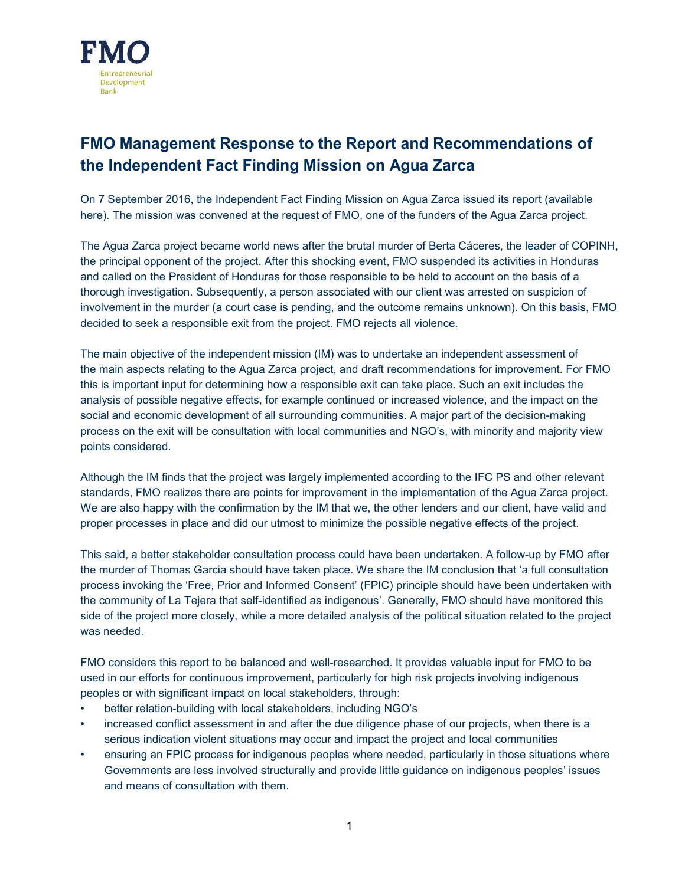

# **FMO Management Response to the Report and Recommendations of the Independent Fact Finding Mission on Agua Zarca**

On 7 September 2016, the Independent Fact Finding Mission on Agua Zarca issued its report (available here). The mission was convened at the request of FMO, one of the funders of the Agua Zarca project.

The Agua Zarca project became world news after the brutal murder of Berta Cáceres, the leader of COPINH, the principal opponent of the project. After this shocking event, FMO suspended its activities in Honduras and called on the President of Honduras for those responsible to be held to account on the basis of a thorough investigation. Subsequently, a person associated with our client was arrested on suspicion of involvement in the murder (a court case is pending, and the outcome remains unknown). On this basis, FMO decided to seek a responsible exit from the project. FMO rejects all violence.

The main objective of the independent mission (IM) was to undertake an independent assessment of the main aspects relating to the Agua Zarca project, and draft recommendations for improvement. For FMO this is important input for determining how a responsible exit can take place. Such an exit includes the analysis of possible negative effects, for example continued or increased violence, and the impact on the social and economic development of all surrounding communities. A major part of the decision-making process on the exit will be consultation with local communities and NGO's, with minority and majority view points considered.

Although the IM finds that the project was largely implemented according to the IFC PS and other relevant standards, FMO realizes there are points for improvement in the implementation of the Agua Zarca project. We are also happy with the confirmation by the IM that we, the other lenders and our client, have valid and proper processes in place and did our utmost to minimize the possible negative effects of the project.

This said, a better stakeholder consultation process could have been undertaken. A follow-up by FMO after the murder of Thomas Garcia should have taken place. We share the IM conclusion that 'a full consultation process invoking the 'Free, Prior and Informed Consent' (FPIC) principle should have been undertaken with the community of La Tejera that self-identified as indigenous'. Generally, FMO should have monitored this side of the project more closely, while a more detailed analysis of the political situation related to the project was needed.

FMO considers this report to be balanced and well-researched. It provides valuable input for FMO to be used in our efforts for continuous improvement, particularly for high risk projects involving indigenous peoples or with significant impact on local stakeholders, through:

- better relation-building with local stakeholders, including NGO's
- increased conflict assessment in and after the due diligence phase of our projects, when there is a serious indication violent situations may occur and impact the project and local communities
- ensuring an FPIC process for indigenous peoples where needed, particularly in those situations where Governments are less involved structurally and provide little guidance on indigenous peoples' issues and means of consultation with them.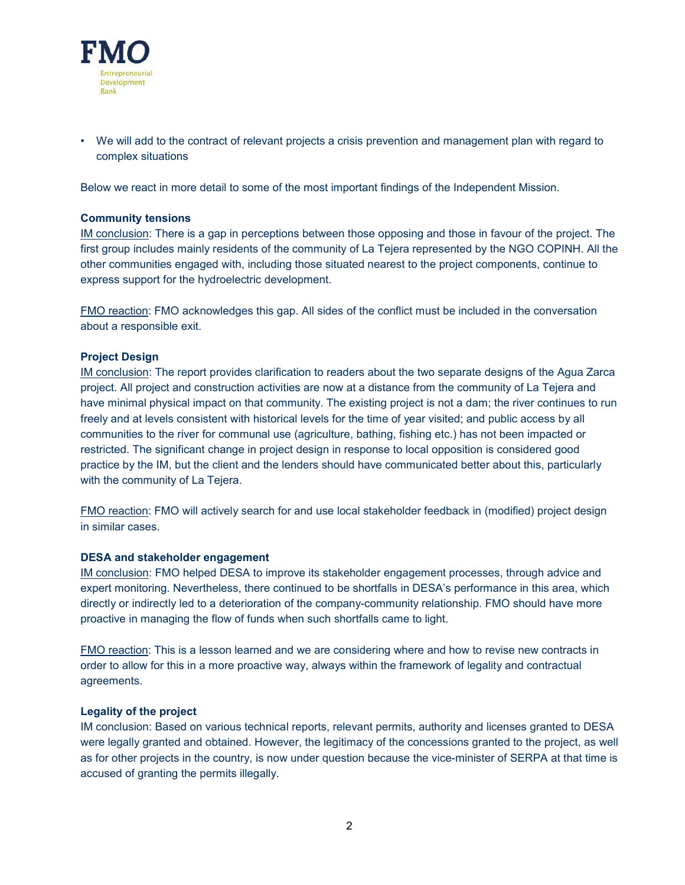

• We will add to the contract of relevant projects a crisis prevention and management plan with regard to complex situations

Below we react in more detail to some of the most important findings of the Independent Mission.

#### **Community tensions**

IM conclusion: There is a gap in perceptions between those opposing and those in favour of the project. The first group includes mainly residents of the community of La Tejera represented by the NGO COPINH. All the other communities engaged with, including those situated nearest to the project components, continue to express support for the hydroelectric development.

FMO reaction: FMO acknowledges this gap. All sides of the conflict must be included in the conversation about a responsible exit.

### **Project Design**

IM conclusion: The report provides clarification to readers about the two separate designs of the Agua Zarca project. All project and construction activities are now at a distance from the community of La Tejera and have minimal physical impact on that community. The existing project is not a dam; the river continues to run freely and at levels consistent with historical levels for the time of year visited; and public access by all communities to the river for communal use (agriculture, bathing, fishing etc.) has not been impacted or restricted. The significant change in project design in response to local opposition is considered good practice by the IM, but the client and the lenders should have communicated better about this, particularly with the community of La Tejera.

FMO reaction: FMO will actively search for and use local stakeholder feedback in (modified) project design in similar cases.

#### **DESA and stakeholder engagement**

IM conclusion: FMO helped DESA to improve its stakeholder engagement processes, through advice and expert monitoring. Nevertheless, there continued to be shortfalls in DESA's performance in this area, which directly or indirectly led to a deterioration of the company-community relationship. FMO should have more proactive in managing the flow of funds when such shortfalls came to light.

FMO reaction: This is a lesson learned and we are considering where and how to revise new contracts in order to allow for this in a more proactive way, always within the framework of legality and contractual agreements.

#### **Legality of the project**

IM conclusion: Based on various technical reports, relevant permits, authority and licenses granted to DESA were legally granted and obtained. However, the legitimacy of the concessions granted to the project, as well as for other projects in the country, is now under question because the vice-minister of SERPA at that time is accused of granting the permits illegally.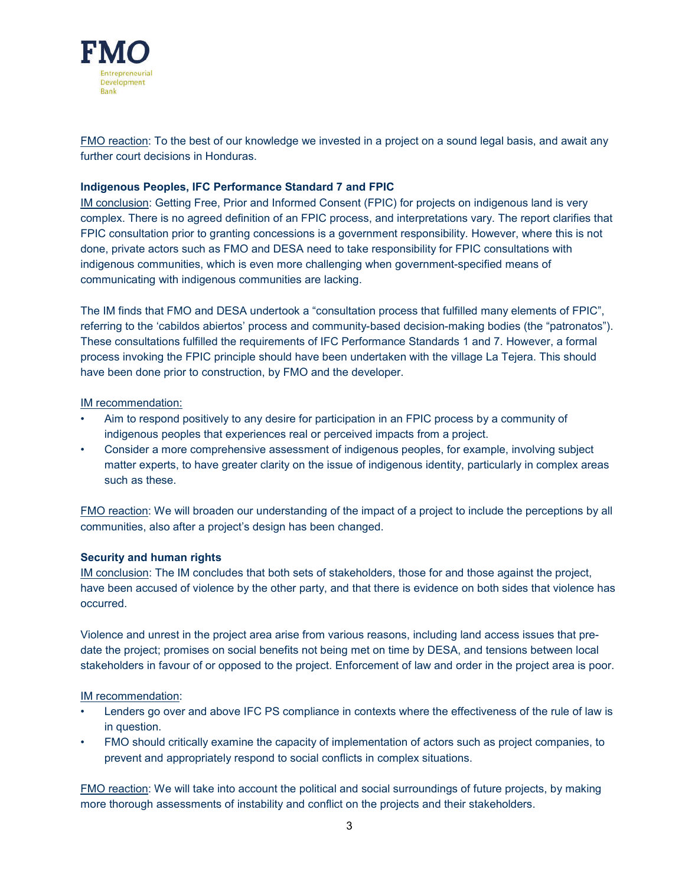

FMO reaction: To the best of our knowledge we invested in a project on a sound legal basis, and await any further court decisions in Honduras.

## **Indigenous Peoples, IFC Performance Standard 7 and FPIC**

IM conclusion: Getting Free, Prior and Informed Consent (FPIC) for projects on indigenous land is very complex. There is no agreed definition of an FPIC process, and interpretations vary. The report clarifies that FPIC consultation prior to granting concessions is a government responsibility. However, where this is not done, private actors such as FMO and DESA need to take responsibility for FPIC consultations with indigenous communities, which is even more challenging when government-specified means of communicating with indigenous communities are lacking.

The IM finds that FMO and DESA undertook a "consultation process that fulfilled many elements of FPIC", referring to the 'cabildos abiertos' process and community-based decision-making bodies (the "patronatos"). These consultations fulfilled the requirements of IFC Performance Standards 1 and 7. However, a formal process invoking the FPIC principle should have been undertaken with the village La Tejera. This should have been done prior to construction, by FMO and the developer.

IM recommendation:

- Aim to respond positively to any desire for participation in an FPIC process by a community of indigenous peoples that experiences real or perceived impacts from a project.
- Consider a more comprehensive assessment of indigenous peoples, for example, involving subject matter experts, to have greater clarity on the issue of indigenous identity, particularly in complex areas such as these.

FMO reaction: We will broaden our understanding of the impact of a project to include the perceptions by all communities, also after a project's design has been changed.

#### **Security and human rights**

IM conclusion: The IM concludes that both sets of stakeholders, those for and those against the project, have been accused of violence by the other party, and that there is evidence on both sides that violence has occurred.

Violence and unrest in the project area arise from various reasons, including land access issues that predate the project; promises on social benefits not being met on time by DESA, and tensions between local stakeholders in favour of or opposed to the project. Enforcement of law and order in the project area is poor.

IM recommendation:

- Lenders go over and above IFC PS compliance in contexts where the effectiveness of the rule of law is in question.
- FMO should critically examine the capacity of implementation of actors such as project companies, to prevent and appropriately respond to social conflicts in complex situations.

FMO reaction: We will take into account the political and social surroundings of future projects, by making more thorough assessments of instability and conflict on the projects and their stakeholders.